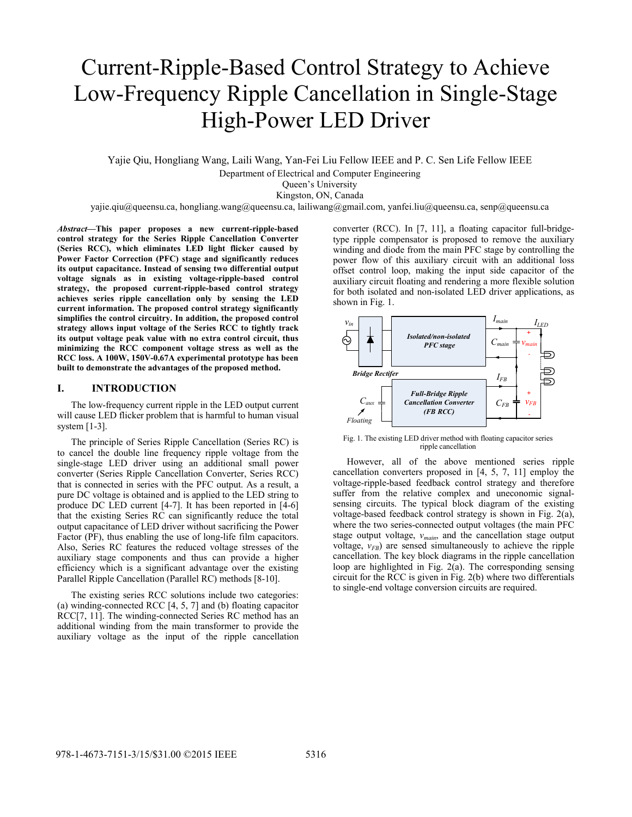# Current-Ripple-Based Control Strategy to Achieve Low-Frequency Ripple Cancellation in Single-Stage High-Power LED Driver

Yajie Qiu, Hongliang Wang, Laili Wang, Yan-Fei Liu Fellow IEEE and P. C. Sen Life Fellow IEEE

Department of Electrical and Computer Engineering

Queen's University

Kingston, ON, Canada

yajie.qiu@queensu.ca, hongliang.wang@queensu.ca, lailiwang@gmail.com, yanfei.liu@queensu.ca, senp@queensu.ca

*Abstract***—This paper proposes a new current-ripple-based control strategy for the Series Ripple Cancellation Converter (Series RCC), which eliminates LED light flicker caused by Power Factor Correction (PFC) stage and significantly reduces its output capacitance. Instead of sensing two differential output voltage signals as in existing voltage-ripple-based control strategy, the proposed current-ripple-based control strategy achieves series ripple cancellation only by sensing the LED current information. The proposed control strategy significantly simplifies the control circuitry. In addition, the proposed control strategy allows input voltage of the Series RCC to tightly track its output voltage peak value with no extra control circuit, thus minimizing the RCC component voltage stress as well as the RCC loss. A 100W, 150V-0.67A experimental prototype has been built to demonstrate the advantages of the proposed method.** 

# **I. INTRODUCTION**

The low-frequency current ripple in the LED output current will cause LED flicker problem that is harmful to human visual system [1-3].

The principle of Series Ripple Cancellation (Series RC) is to cancel the double line frequency ripple voltage from the single-stage LED driver using an additional small power converter (Series Ripple Cancellation Converter, Series RCC) that is connected in series with the PFC output. As a result, a pure DC voltage is obtained and is applied to the LED string to produce DC LED current [4-7]. It has been reported in [4-6] that the existing Series RC can significantly reduce the total output capacitance of LED driver without sacrificing the Power Factor (PF), thus enabling the use of long-life film capacitors. Also, Series RC features the reduced voltage stresses of the auxiliary stage components and thus can provide a higher efficiency which is a significant advantage over the existing Parallel Ripple Cancellation (Parallel RC) methods [8-10].

The existing series RCC solutions include two categories: (a) winding-connected RCC [4, 5, 7] and (b) floating capacitor RCC[7, 11]. The winding-connected Series RC method has an additional winding from the main transformer to provide the auxiliary voltage as the input of the ripple cancellation

converter (RCC). In [7, 11], a floating capacitor full-bridgetype ripple compensator is proposed to remove the auxiliary winding and diode from the main PFC stage by controlling the power flow of this auxiliary circuit with an additional loss offset control loop, making the input side capacitor of the auxiliary circuit floating and rendering a more flexible solution for both isolated and non-isolated LED driver applications, as shown in Fig. 1.



Fig. 1. The existing LED driver method with floating capacitor series ripple cancellation

However, all of the above mentioned series ripple cancellation converters proposed in [4, 5, 7, 11] employ the voltage-ripple-based feedback control strategy and therefore suffer from the relative complex and uneconomic signalsensing circuits. The typical block diagram of the existing voltage-based feedback control strategy is shown in Fig. 2(a), where the two series-connected output voltages (the main PFC stage output voltage, *vmain*, and the cancellation stage output voltage,  $v_{FB}$ ) are sensed simultaneously to achieve the ripple cancellation. The key block diagrams in the ripple cancellation loop are highlighted in Fig. 2(a). The corresponding sensing circuit for the RCC is given in Fig. 2(b) where two differentials to single-end voltage conversion circuits are required.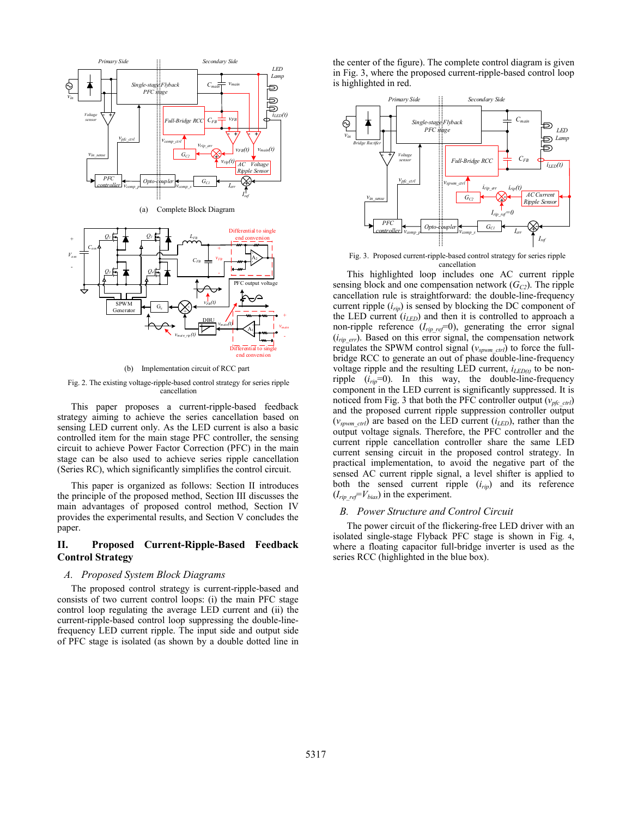

(b) Implementation circuit of RCC part

Fig. 2. The existing voltage-ripple-based control strategy for series ripple cancellation

This paper proposes a current-ripple-based feedback strategy aiming to achieve the series cancellation based on sensing LED current only. As the LED current is also a basic controlled item for the main stage PFC controller, the sensing circuit to achieve Power Factor Correction (PFC) in the main stage can be also used to achieve series ripple cancellation (Series RC), which significantly simplifies the control circuit.

This paper is organized as follows: Section II introduces the principle of the proposed method, Section III discusses the main advantages of proposed control method, Section IV provides the experimental results, and Section V concludes the paper.

# **II. Proposed Current-Ripple-Based Feedback Control Strategy**

### *A. Proposed System Block Diagrams*

The proposed control strategy is current-ripple-based and consists of two current control loops: (i) the main PFC stage control loop regulating the average LED current and (ii) the current-ripple-based control loop suppressing the double-linefrequency LED current ripple. The input side and output side of PFC stage is isolated (as shown by a double dotted line in the center of the figure). The complete control diagram is given in Fig. 3, where the proposed current-ripple-based control loop is highlighted in red.



Fig. 3. Proposed current-ripple-based control strategy for series ripple cancellation

This highlighted loop includes one AC current ripple sensing block and one compensation network  $(G<sub>C2</sub>)$ . The ripple cancellation rule is straightforward: the double-line-frequency current ripple  $(i_{rip})$  is sensed by blocking the DC component of the LED current (*iLED*) and then it is controlled to approach a non-ripple reference (*Irip\_ref*=0), generating the error signal  $(i_{rip-err})$ . Based on this error signal, the compensation network regulates the SPWM control signal (*vspwm\_ctrl*) to force the fullbridge RCC to generate an out of phase double-line-frequency voltage ripple and the resulting LED current,  $i_{LED(t)}$  to be nonripple  $(i_{rip}=0)$ . In this way, the double-line-frequency component in the LED current is significantly suppressed. It is noticed from Fig. 3 that both the PFC controller output ( $v_{pfc}$ <sub>ctrl</sub>) and the proposed current ripple suppression controller output  $(v_{sym-ctrl})$  are based on the LED current  $(i_{LED})$ , rather than the output voltage signals. Therefore, the PFC controller and the current ripple cancellation controller share the same LED current sensing circuit in the proposed control strategy. In practical implementation, to avoid the negative part of the sensed AC current ripple signal, a level shifter is applied to both the sensed current ripple (*irip*) and its reference  $(I_{rip, ref} = V_{bias})$  in the experiment.

## *B. Power Structure and Control Circuit*

The power circuit of the flickering-free LED driver with an isolated single-stage Flyback PFC stage is shown in Fig. 4, where a floating capacitor full-bridge inverter is used as the series RCC (highlighted in the blue box).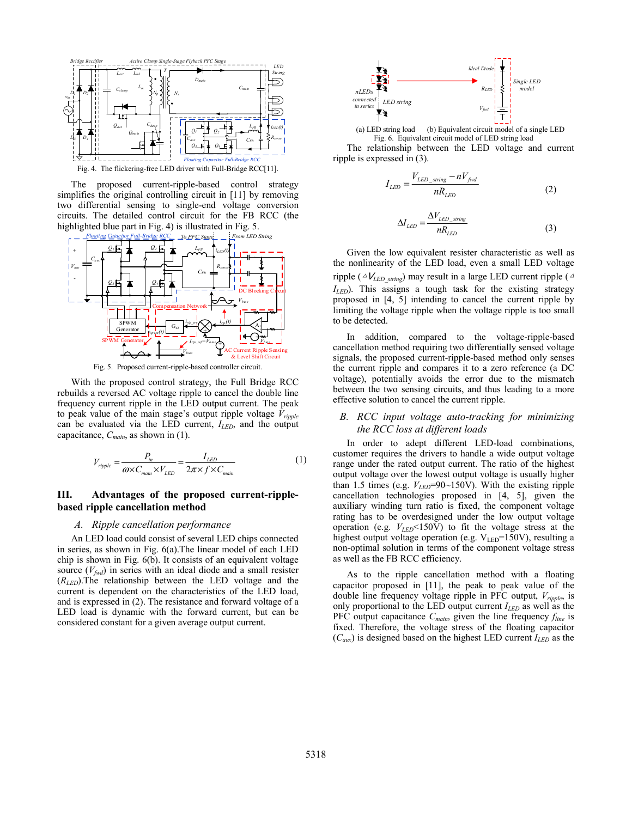

The proposed current-ripple-based control strategy simplifies the original controlling circuit in [11] by removing two differential sensing to single-end voltage conversion circuits. The detailed control circuit for the FB RCC (the highlighted blue part in Fig. 4) is illustrated in Fig. 5.



Fig. 5. Proposed current-ripple-based controller circuit.

With the proposed control strategy, the Full Bridge RCC rebuilds a reversed AC voltage ripple to cancel the double line frequency current ripple in the LED output current. The peak to peak value of the main stage's output ripple voltage *Vripple* can be evaluated via the LED current, *ILED*, and the output capacitance, *Cmain*, as shown in (1).

$$
V_{\text{ripple}} = \frac{P_{\text{in}}}{\omega \times C_{\text{main}} \times V_{LED}} = \frac{I_{LED}}{2\pi \times f \times C_{\text{main}}}
$$
(1)

# **III. Advantages of the proposed current-ripplebased ripple cancellation method**

#### *A. Ripple cancellation performance*

An LED load could consist of several LED chips connected in series, as shown in Fig. 6(a).The linear model of each LED chip is shown in Fig. 6(b). It consists of an equivalent voltage source  $(V_{\text{fwd}})$  in series with an ideal diode and a small resister (*RLED*).The relationship between the LED voltage and the current is dependent on the characteristics of the LED load, and is expressed in (2). The resistance and forward voltage of a LED load is dynamic with the forward current, but can be considered constant for a given average output current.



(a) LED string load (b) Equivalent circuit model of a single LED Fig. 6. Equivalent circuit model of LED string load

The relationship between the LED voltage and current ripple is expressed in (3).

$$
I_{LED} = \frac{V_{LED\_string} - nV_{fwd}}{nR_{LED}}
$$
\n(2)

$$
\Delta I_{LED} = \frac{\Delta V_{LED\_string}}{nR_{LED}}
$$
\n(3)

Given the low equivalent resister characteristic as well as the nonlinearity of the LED load, even a small LED voltage ripple ( $\Delta V_{LED\ string}$ ) may result in a large LED current ripple ( $\Delta$ *ILED*). This assigns a tough task for the existing strategy proposed in [4, 5] intending to cancel the current ripple by limiting the voltage ripple when the voltage ripple is too small to be detected.

In addition, compared to the voltage-ripple-based cancellation method requiring two differentially sensed voltage signals, the proposed current-ripple-based method only senses the current ripple and compares it to a zero reference (a DC voltage), potentially avoids the error due to the mismatch between the two sensing circuits, and thus leading to a more effective solution to cancel the current ripple.

# *B. RCC input voltage auto-tracking for minimizing the RCC loss at different loads*

In order to adept different LED-load combinations, customer requires the drivers to handle a wide output voltage range under the rated output current. The ratio of the highest output voltage over the lowest output voltage is usually higher than 1.5 times (e.g.  $V_{LED}$ =90~150V). With the existing ripple cancellation technologies proposed in [4, 5], given the auxiliary winding turn ratio is fixed, the component voltage rating has to be overdesigned under the low output voltage operation (e.g.  $V_{LED}$ <150V) to fit the voltage stress at the highest output voltage operation (e.g.  $V_{LED}$ =150V), resulting a non-optimal solution in terms of the component voltage stress as well as the FB RCC efficiency.

As to the ripple cancellation method with a floating capacitor proposed in [11], the peak to peak value of the double line frequency voltage ripple in PFC output, *Vripple*, is only proportional to the LED output current  $I_{LED}$  as well as the PFC output capacitance *Cmain*, given the line frequency *fline* is fixed. Therefore, the voltage stress of the floating capacitor  $(C_{aux})$  is designed based on the highest LED current  $I_{LED}$  as the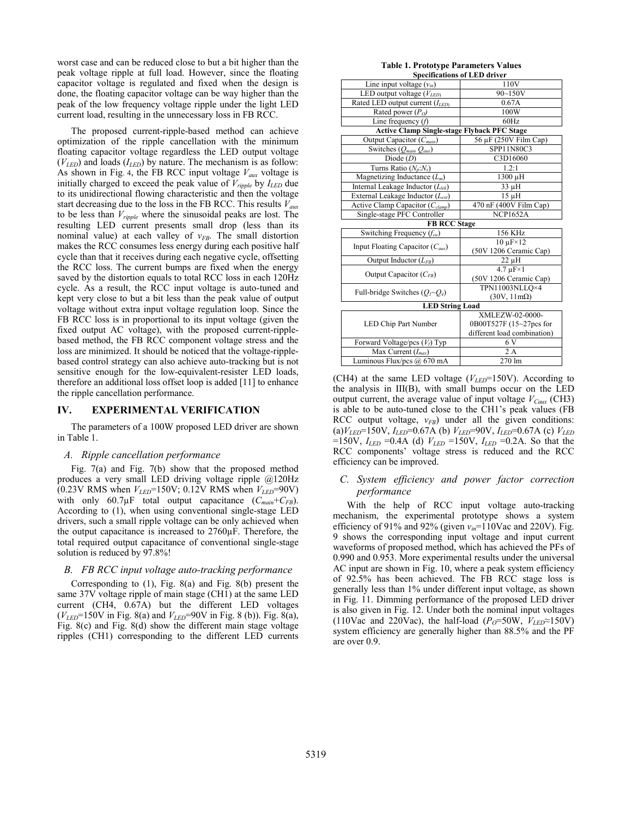worst case and can be reduced close to but a bit higher than the peak voltage ripple at full load. However, since the floating capacitor voltage is regulated and fixed when the design is done, the floating capacitor voltage can be way higher than the peak of the low frequency voltage ripple under the light LED current load, resulting in the unnecessary loss in FB RCC.

The proposed current-ripple-based method can achieve optimization of the ripple cancellation with the minimum floating capacitor voltage regardless the LED output voltage  $(V_{LED})$  and loads  $(I_{LED})$  by nature. The mechanism is as follow: As shown in Fig. 4, the FB RCC input voltage  $V_{aux}$  voltage is initially charged to exceed the peak value of *Vripple* by *ILED* due to its unidirectional flowing characteristic and then the voltage start decreasing due to the loss in the FB RCC. This results *Vaux* to be less than *Vripple* where the sinusoidal peaks are lost. The resulting LED current presents small drop (less than its nominal value) at each valley of  $v_{FB}$ . The small distortion makes the RCC consumes less energy during each positive half cycle than that it receives during each negative cycle, offsetting the RCC loss. The current bumps are fixed when the energy saved by the distortion equals to total RCC loss in each 120Hz cycle. As a result, the RCC input voltage is auto-tuned and kept very close to but a bit less than the peak value of output voltage without extra input voltage regulation loop. Since the FB RCC loss is in proportional to its input voltage (given the fixed output AC voltage), with the proposed current-ripplebased method, the FB RCC component voltage stress and the loss are minimized. It should be noticed that the voltage-ripplebased control strategy can also achieve auto-tracking but is not sensitive enough for the low-equivalent-resister LED loads, therefore an additional loss offset loop is added [11] to enhance the ripple cancellation performance.

#### **IV. EXPERIMENTAL VERIFICATION**

The parameters of a 100W proposed LED driver are shown in Table 1.

#### *A. Ripple cancellation performance*

Fig. 7(a) and Fig. 7(b) show that the proposed method produces a very small LED driving voltage ripple @120Hz (0.23V RMS when  $V_{LED}$ =150V; 0.12V RMS when  $V_{LED}$ =90V) with only  $60.7\mu$ F total output capacitance  $(C_{main} + C_{FB})$ . According to (1), when using conventional single-stage LED drivers, such a small ripple voltage can be only achieved when the output capacitance is increased to 2760μF. Therefore, the total required output capacitance of conventional single-stage solution is reduced by 97.8%!

## *B. FB RCC input voltage auto-tracking performance*

Corresponding to (1), Fig. 8(a) and Fig. 8(b) present the same 37V voltage ripple of main stage (CH1) at the same LED current (CH4, 0.67A) but the different LED voltages  $(V_{LED} = 150V$  in Fig. 8(a) and  $V_{LED} = 90V$  in Fig. 8(b)). Fig. 8(a), Fig. 8(c) and Fig. 8(d) show the different main stage voltage ripples (CH1) corresponding to the different LED currents

| <b>Table 1. Prototype Parameters Values</b>        |                                    |
|----------------------------------------------------|------------------------------------|
| <b>Specifications of LED driver</b>                |                                    |
| Line input voltage $(v_{in})$                      | 110V                               |
| LED output voltage $(V_{LED}$                      | $90 - 150V$                        |
| Rated LED output current $(I_{LED}$                | 0.67A                              |
| Rated power $(PO)$                                 | 100W                               |
| Line frequency $(f)$                               | 60Hz                               |
| <b>Active Clamp Single-stage Flyback PFC Stage</b> |                                    |
| Output Capacitor $(C_{main})$                      | 56 μF (250V Film Cap)              |
| Switches $(Q_{main} Q_{aux})$                      | SPP11N80C3                         |
| Diode $(D)$                                        | C3D16060                           |
| Turns Ratio $(N_p:N_s)$                            | 1.2:1                              |
| Magnetizing Inductance $(L_m)$                     | 1300 µH                            |
| Internal Leakage Inductor (L <sub>lek</sub> )      | 33 µH                              |
| External Leakage Inductor $(L_{ext})$              | 15 uH                              |
| Active Clamp Capacitor (Cclamp)                    | 470 nF (400V Film Cap)             |
| Single-stage PFC Controller                        | <b>NCP1652A</b>                    |
| <b>FB RCC Stage</b>                                |                                    |
| Switching Frequency $(f_{sw})$                     | 156 KHz                            |
| Input Floating Capacitor $(C_{\text{aux}})$        | $10 \mu$ F $\times$ $12$           |
|                                                    | (50V 1206 Ceramic Cap)             |
| Output Inductor $(L_{FB})$                         | $22 \mu H$                         |
| Output Capacitor $(C_{FB})$                        | $4.7 \text{ }\mu\text{F} \times 1$ |
|                                                    | (50V 1206 Ceramic Cap)             |
| Full-bridge Switches $(Q_1 \sim Q_4)$              | TPN11003NLLO×4                     |
|                                                    | $(30V, 11m\Omega)$                 |
| <b>LED String Load</b>                             |                                    |
| LED Chip Part Number                               | XMLEZW-02-0000-                    |
|                                                    | 0B00T527F (15~27pcs for            |
|                                                    | different load combination)        |
| Forward Voltage/pcs $(V_f)$ Typ                    | 6 V                                |
| Max Current $(I_{max})$                            | 2A                                 |
| Luminous Flux/pcs @ 670 mA                         | 270 lm                             |

(CH4) at the same LED voltage  $(V_{LED} = 150V)$ . According to the analysis in III(B), with small bumps occur on the LED output current, the average value of input voltage  $V_{Caux}$  (CH3) is able to be auto-tuned close to the CH1's peak values (FB RCC output voltage,  $v_{FB}$ ) under all the given conditions: (a)*VLED*=150V, *ILED*=0.67A (b) *VLED*=90V, *ILED*=0.67A (c) *VLED*  $=150V$ ,  $I_{LED} = 0.4A$  (d)  $V_{LED} = 150V$ ,  $I_{LED} = 0.2A$ . So that the RCC components' voltage stress is reduced and the RCC efficiency can be improved.

# *C. System efficiency and power factor correction performance*

With the help of RCC input voltage auto-tracking mechanism, the experimental prototype shows a system efficiency of 91% and 92% (given *vin*=110Vac and 220V). Fig. 9 shows the corresponding input voltage and input current waveforms of proposed method, which has achieved the PFs of 0.990 and 0.953. More experimental results under the universal AC input are shown in Fig. 10, where a peak system efficiency of 92.5% has been achieved. The FB RCC stage loss is generally less than 1% under different input voltage, as shown in Fig. 11. Dimming performance of the proposed LED driver is also given in Fig. 12. Under both the nominal input voltages (110Vac and 220Vac), the half-load  $(P<sub>O</sub>=50W, V<sub>LED</sub> \approx 150V)$ system efficiency are generally higher than 88.5% and the PF are over 0.9.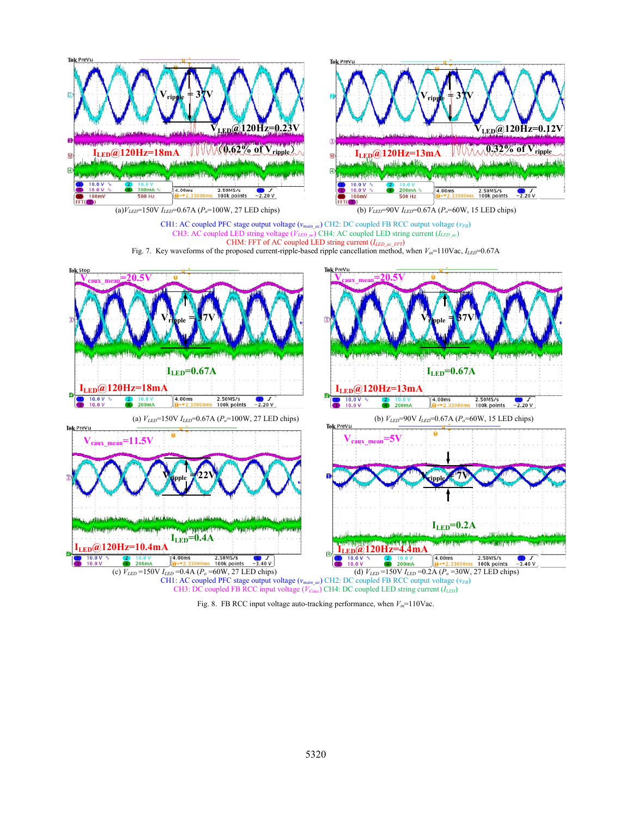

Fig. 8. FB RCC input voltage auto-tracking performance, when  $V_{in}$ =110Vac.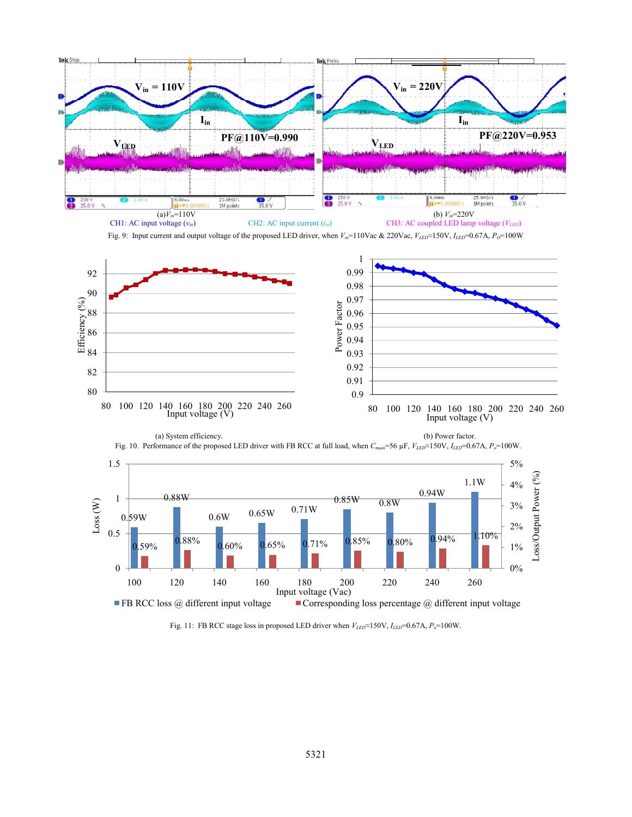

Fig. 11: FB RCC stage loss in proposed LED driver when  $V_{LED} \approx 150 \text{V}$ ,  $I_{LED} = 0.67 \text{A}$ ,  $P_o = 100 \text{W}$ .